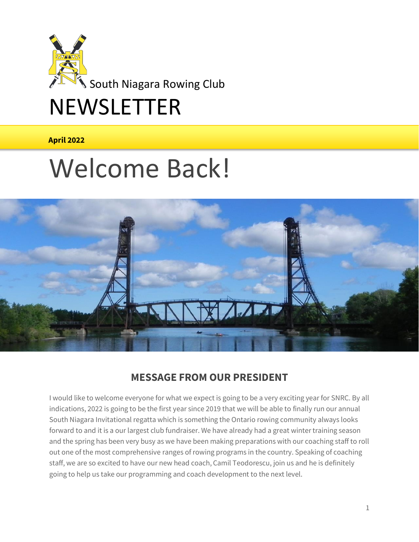

## NEWSLETTER

 **April 2022**

# Welcome Back!



#### **MESSAGE FROM OUR PRESIDENT**

I would like to welcome everyone for what we expect is going to be a very exciting year for SNRC. By all indications, 2022 is going to be the first year since 2019 that we will be able to finally run our annual South Niagara Invitational regatta which is something the Ontario rowing community always looks forward to and it is a our largest club fundraiser. We have already had a great winter training season and the spring has been very busy as we have been making preparations with our coaching staff to roll out one of the most comprehensive ranges of rowing programs in the country. Speaking of coaching staff, we are so excited to have our new head coach, Camil Teodorescu, join us and he is definitely going to help us take our programming and coach development to the next level.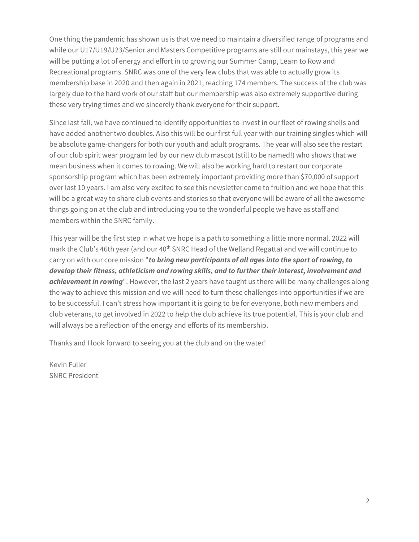One thing the pandemic has shown us is that we need to maintain a diversified range of programs and while our U17/U19/U23/Senior and Masters Competitive programs are still our mainstays, this year we will be putting a lot of energy and effort in to growing our Summer Camp, Learn to Row and Recreational programs. SNRC was one of the very few clubs that was able to actually grow its membership base in 2020 and then again in 2021, reaching 174 members. The success of the club was largely due to the hard work of our staff but our membership was also extremely supportive during these very trying times and we sincerely thank everyone for their support.

Since last fall, we have continued to identify opportunities to invest in our fleet of rowing shells and have added another two doubles. Also this will be our first full year with our training singles which will be absolute game-changers for both our youth and adult programs. The year will also see the restart of our club spirit wear program led by our new club mascot (still to be named!) who shows that we mean business when it comes to rowing. We will also be working hard to restart our corporate sponsorship program which has been extremely important providing more than \$70,000 of support over last 10 years. I am also very excited to see this newsletter come to fruition and we hope that this will be a great way to share club events and stories so that everyone will be aware of all the awesome things going on at the club and introducing you to the wonderful people we have as staff and members within the SNRC family.

This year will be the first step in what we hope is a path to something a little more normal. 2022 will mark the Club's 46th year (and our 40<sup>th</sup> SNRC Head of the Welland Regatta) and we will continue to carry on with our core mission "*to bring new participants of all ages into the sport of rowing, to develop their fitness, athleticism and rowing skills, and to further their interest, involvement and achievement in rowing*". However, the last 2 years have taught us there will be many challenges along the way to achieve this mission and we will need to turn these challenges into opportunities if we are to be successful. I can't stress how important it is going to be for everyone, both new members and club veterans, to get involved in 2022 to help the club achieve its true potential. This is your club and will always be a reflection of the energy and efforts of its membership.

Thanks and I look forward to seeing you at the club and on the water!

Kevin Fuller SNRC President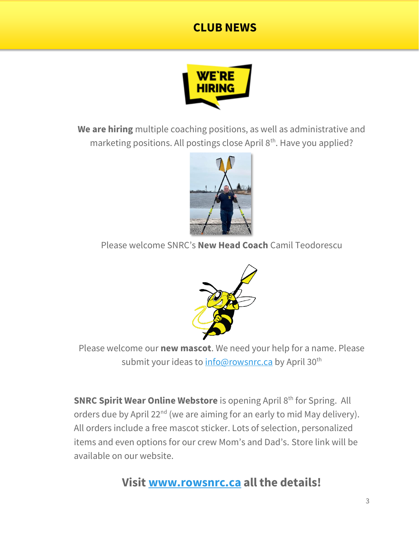### **CLUB NEWS**



**We are hiring** multiple coaching positions, as well as administrative and marketing positions. All postings close April 8<sup>th</sup>. Have you applied?



Please welcome SNRC's **New Head Coach** Camil Teodorescu



Please welcome our **new mascot**. We need your help for a name. Please submit your ideas to [info@rowsnrc.ca](mailto:info@rowsnrc.ca) by April 30<sup>th</sup>

**SNRC Spirit Wear Online Webstore** is opening April 8<sup>th</sup> for Spring. All orders due by April 22<sup>nd</sup> (we are aiming for an early to mid May delivery). All orders include a free mascot sticker. Lots of selection, personalized items and even options for our crew Mom's and Dad's. Store link will be available on our website.

**Visit [www.rowsnrc.ca](http://www.rowsnrc.ca/) all the details!**